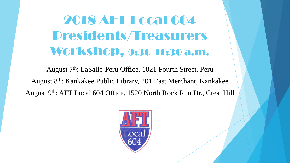2018 AFT Local 604 Presidents/Treasurers Workshop, 9:30-11:30 a.m.

August 7<sup>th</sup>: LaSalle-Peru Office, 1821 Fourth Street, Peru August 8th: Kankakee Public Library, 201 East Merchant, Kankakee August 9th: AFT Local 604 Office, 1520 North Rock Run Dr., Crest Hill

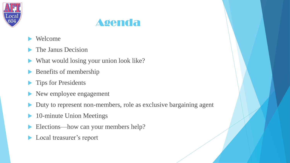



- Welcome
- The Janus Decision
- What would losing your union look like?
- Benefits of membership
- **Tips for Presidents**
- New employee engagement
- Duty to represent non-members, role as exclusive bargaining agent
- 10-minute Union Meetings
- Elections—how can your members help?
- **Local treasurer's report**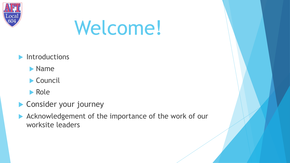

# Welcome!

- **Introductions** 
	- Name
	- ▶ Council
	- **Role**
- **Consider your journey**
- Acknowledgement of the importance of the work of our worksite leaders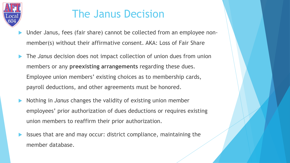

# The Janus Decision

- Under Janus, fees (fair share) cannot be collected from an employee nonmember(s) without their affirmative consent. AKA: Loss of Fair Share
- The *Janus* decision does not impact collection of union dues from union members or any **preexisting arrangements** regarding these dues. Employee union members' existing choices as to membership cards, payroll deductions, and other agreements must be honored.
- Nothing in *Janus* changes the validity of existing union member employees' prior authorization of dues deductions or requires existing union members to reaffirm their prior authorization.
- Issues that are and may occur: district compliance, maintaining the member database.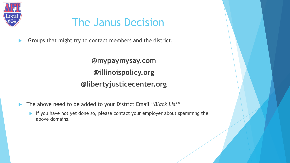

# The Janus Decision

Groups that might try to contact members and the district.

**@mypaymysay.com @illinoispolicy.org @libertyjusticecenter.org**

- The above need to be added to your District Email "*Black List"*
	- If you have not yet done so, please contact your employer about spamming the above domains!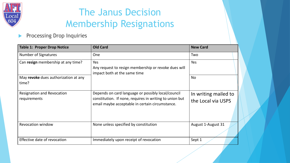

## The Janus Decision Membership Resignations

#### **Processing Drop Inquiries**

| <b>Table 1: Proper Drop Notice</b>                | <b>Old Card</b>                                                                                                                                                  | <b>New Card</b>                            |
|---------------------------------------------------|------------------------------------------------------------------------------------------------------------------------------------------------------------------|--------------------------------------------|
| Number of Signatures                              | <b>One</b>                                                                                                                                                       | Two                                        |
| Can resign membership at any time?                | Yes<br>Any request to resign membership or revoke dues will<br>impact both at the same time                                                                      | Yes                                        |
| May revoke dues authorization at any<br>time?     |                                                                                                                                                                  | <b>No</b>                                  |
| <b>Resignation and Revocation</b><br>requirements | Depends on card language or possibly local/council<br>constitution. If none, requires in writing to union but<br>email maybe acceptable in certain circumstance. | In writing mailed to<br>the Local via USPS |
| <b>Revocation window</b>                          | None unless specified by constitution                                                                                                                            | August 1-August 31                         |
| Effective date of revocation                      | Immediately upon receipt of revocation                                                                                                                           | Sept 1                                     |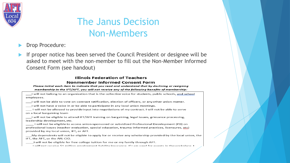

### The Janus Decision Non-Members

- Drop Procedure:
- If proper notice has been served the Council President or designee will be asked to meet with the non-member to fill out the Non-Member Informed Consent Form (see handout)

#### **Illinois Federation of Teachers Nonmember Informed Consent Form**

Please initial each item to indicate that you read and understand that by declining or resigning membership in the IFT/AFT, you will not receive any of the following benefits of membership:

I will not belong to an organization that is the collective voice for students, public schools, and school emplovees. I will not be able to vote on contract ratification, election of officers, or any other union matter. I will not have a voice in or be able to participate in any local union meetings. I will not be allowed to provide input into negotiations of my contract. I will not be able to serve on a local bargaining team I will not be eligible to attend IFT/AFT training on bargaining, legal issues, grievance processing, leadership development, etc. I will not be eligible to access union-sponsored or subsidized Professional Development (PD) on professional issues (teacher evaluation, special education, trauma-informed practices, licensures, etc) provided by my local union, IFT, or AFT. My dependents will not be eligible to apply for or receive any scholarship provided by the local union, the IFT, the AFT, or the AFL-CIO. I will not be eligible for free college tuition for me or my family through AFT. I will not receive \$1 million employment liability insurance. If I am sued for events in the workplace. I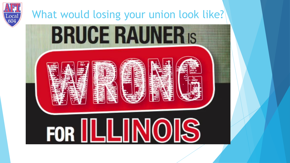

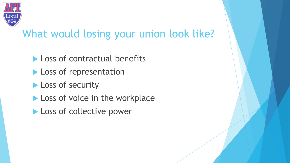

# What would losing your union look like?

- **Loss of contractual benefits**
- **Loss of representation**
- **Loss of security**
- Loss of voice in the workplace
- **Loss of collective power**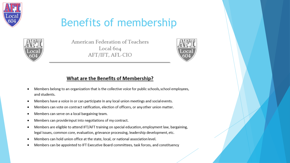



American Federation of Teachers Local 604 AFT/IFT, AFL-CIO



#### What are the Benefits of Membership?

- Members belong to an organization that is the collective voice for public schools, school employees, and students.
- Members have a voice in or can participate in any local union meetings and social events. ٠
- Members can vote on contract ratification, election of officers, or any other union matter. ٠
- Members can serve on a local bargaining team. ٠
- Members can provide input into negotiations of my contract.
- Members are eligible to attend IFT/AFT training on special education, employment law, bargaining, legal issues, common core, evaluation, grievance processing, leadership development, etc.
- Members can hold union office at the state, local, or national association level.
- Members can be appointed to IFT Executive Board committees, task forces, and constituency ٠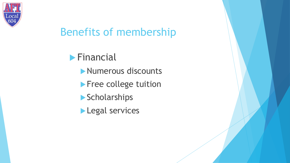

**Financial** 

- Numerous discounts
- **Free college tuition**
- **Scholarships**
- **Legal services**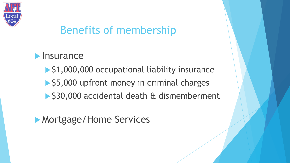

### $\blacktriangleright$  Insurance

- ▶ \$1,000,000 occupational liability insurance
- ▶ \$5,000 upfront money in criminal charges
- ▶ \$30,000 accidental death & dismemberment

### **Mortgage/Home Services**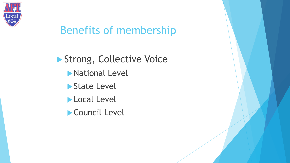

Strong, Collective Voice **National Level** ▶ State Level **Local Level** Council Level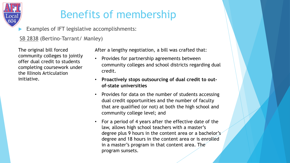# oca

# Benefits of membership

Examples of IFT legislative accomplishments:

SB 2838 (Bertino-Tarrant/ Manley)

The original bill forced community colleges to jointly offer dual credit to students completing coursework under the Illinois Articulation initiative.

After a lengthy negotiation, a bill was crafted that:

- Provides for partnership agreements between community colleges and school districts regarding dual credit.
- **Proactively stops outsourcing of dual credit to outof-state universities**
- Provides for data on the number of students accessing dual credit opportunities and the number of faculty that are qualified (or not) at both the high school and community college level; and
- For a period of 4 years after the effective date of the law, allows high school teachers with a master's degree plus 9 hours in the content area or a bachelor's degree and 18 hours in the content area or is enrolled in a master's program in that content area. The program sunsets.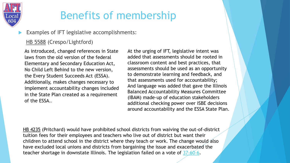

#### Examples of IFT legislative accomplishments:

#### HB 5588 (Crespo/Lightford)

As introduced, changed references in State laws from the old version of the federal Elementary and Secondary Education Act, No Child Left Behind to the new version, the Every Student Succeeds Act (ESSA). Additionally, makes changes necessary to implement accountability changes included in the State Plan created as a requirement of the ESSA..

At the urging of IFT, legislative intent was added that assessments should be rooted in classroom content and best practices, that assessments should be used as an opportunity to demonstrate learning and feedback, and that assessments used for accountability; And language was added that gave the Illinois Balanced Accountability Measures Committee (IBAM) made-up of education stakeholders additional checking power over ISBE decisions around accountability and the ESSA State Plan.

HB 4235 (Pritchard) would have prohibited school districts from waiving the out-of-district tuition fees for their employees and teachers who live out of district but want their children to attend school in the district where they teach or work. The change would also have excluded local unions and districts from bargaining the issue and exacerbated the teacher shortage in downstate Illinois. The legislation failed on a vote of [37-60-6.](http://www.ilga.gov/legislation/votehistory/100/house/10000HB4235_03072018_007000T.pdf)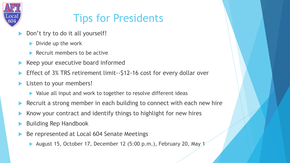

# Tips for Presidents

- Don't try to do it all yourself!
	- $\blacktriangleright$  Divide up the work
	- Recruit members to be active
- Keep your executive board informed
- Effect of 3% TRS retirement limit--\$12-16 cost for every dollar over
- Listen to your members!
	- Value all input and work to together to resolve different ideas
- Recruit a strong member in each building to connect with each new hire
- Know your contract and identify things to highlight for new hires
- Building Rep Handbook
- Be represented at Local 604 Senate Meetings
	- August 15, October 17, December 12 (5:00 p.m.), February 20, May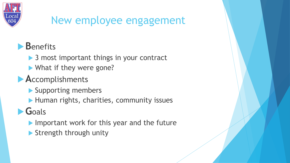

# New employee engagement

## **B**enefits

- **▶ 3 most important things in your contract**
- What if they were gone?

## **A**ccomplishments

- **Supporting members**
- Human rights, charities, community issues

# **G**oals

- Important work for this year and the future
- Strength through unity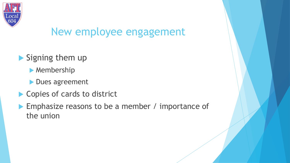

# New employee engagement

- Signing them up
	- **Membership**
	- **Dues agreement**
- ▶ Copies of cards to district
- **Emphasize reasons to be a member / importance of** the union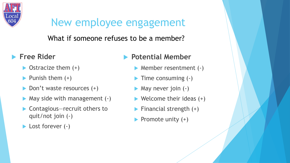

# New employee engagement

What if someone refuses to be a member?

- **Free Rider** 
	- $\triangleright$  Ostracize them  $(+)$
	- $\blacktriangleright$  Punish them  $(+)$
	- ▶ Don't waste resources (+)
	- May side with management (-)
	- ▶ Contagious—recruit others to quit/not join (-)
	- ▶ Lost forever (-)

#### **Potential Member**

- ▶ Member resentment (-)
- $\blacktriangleright$  Time consuming  $(\cdot)$
- **May never join (-)**
- $\blacktriangleright$  Welcome their ideas  $(+)$
- $\blacktriangleright$  Financial strength  $(+)$
- $\blacktriangleright$  Promote unity  $(+)$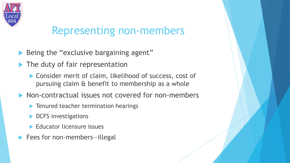

## Representing non-members

- Being the "exclusive bargaining agent"
- The duty of fair representation
	- ▶ Consider merit of claim, likelihood of success, cost of pursuing claim & benefit to membership as a whole
- **Non-contractual issues not covered for non-members** 
	- **Tenured teacher termination hearings**
	- DCFS investigations
	- **Educator licensure issues**
- Fees for non-members—illegal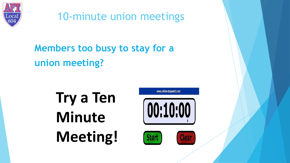

10-minute union meetings

# **Members too busy to stay for a union meeting?**

**Try a Ten Minute Meeting!**



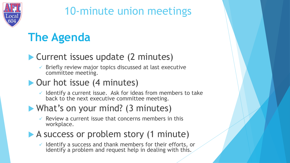

# 10-minute union meetings

# **The Agenda**

#### **Current issues update (2 minutes)**

Briefly review major topics discussed at last executive committee meeting.

#### ▶ Our hot issue (4 minutes)

 $\checkmark$  Identify a current issue. Ask for ideas from members to take back to the next executive committee meeting.

### What's on your mind? (3 minutes)

Review a current issue that concerns members in this workplace.

#### A success or problem story (1 minute)

Identify a success and thank members for their efforts, or identify a problem and request help in dealing with this.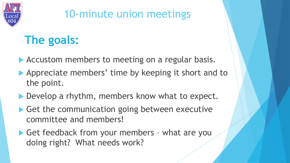

# 10-minute union meetings

# **The goals:**

- Accustom members to meeting on a regular basis.
- Appreciate members' time by keeping it short and to the point.
- Develop a rhythm, members know what to expect.
- Get the communication going between executive committee and members!
- Get feedback from your members what are you doing right? What needs work?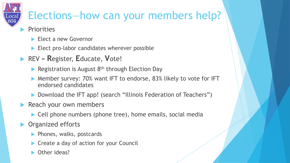

# Elections—how can your members help?

#### **Priorities**

- Elect a new Governor
- Elect pro-labor candidates wherever possible
- REV = **R**egister, **E**ducate, **V**ote!
	- Registration is August  $8<sup>th</sup>$  through Election Day
	- ▶ Member survey: 70% want IFT to endorse, 83% likely to vote for IFT endorsed candidates
	- ▶ Download the IFT app! (search "Illinois Federation of Teachers")
- Reach your own members
	- ▶ Cell phone numbers (phone tree), home emails, social media
- **Organized efforts** 
	- $\blacktriangleright$  Phones, walks, postcards
	- Create a day of action for your Council
	- Other ideas?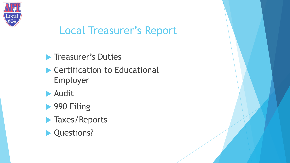

# Local Treasurer's Report

**Treasurer's Duties** 

- **Certification to Educational** Employer
- Audit
- ▶ 990 Filing
- **Taxes/Reports**
- **Questions?**